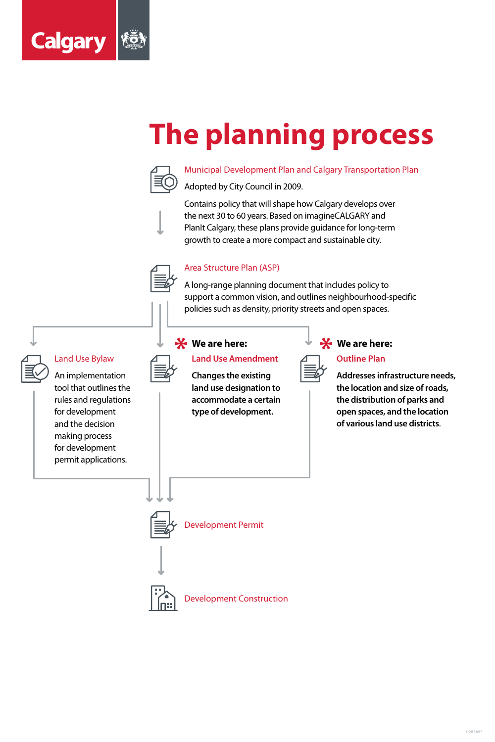

# **The planning process**



Municipal Development Plan and Calgary Transportation Plan

Adopted by City Council in 2009.

Contains policy that will shape how Calgary develops over the next 30 to 60 years. Based on imagineCALGARY and PlanIt Calgary, these plans provide guidance for long-term growth to create a more compact and sustainable city.



#### Area Structure Plan (ASP)

A long-range planning document that includes policy to support a common vision, and outlines neighbourhood-specific policies such as density, priority streets and open spaces.



#### Land Use Bylaw

An implementation

tool that outlines the rules and regulations for development and the decision making process for development permit applications.

#### **Land Use Amendment**

**Changes the existing land use designation to accommodate a certain type of development.**



#### **Outline Plan**

**Addresses infrastructure needs, the location and size of roads, the distribution of parks and open spaces, and the location of various land use districts**.







#### **We are here: We are here:**

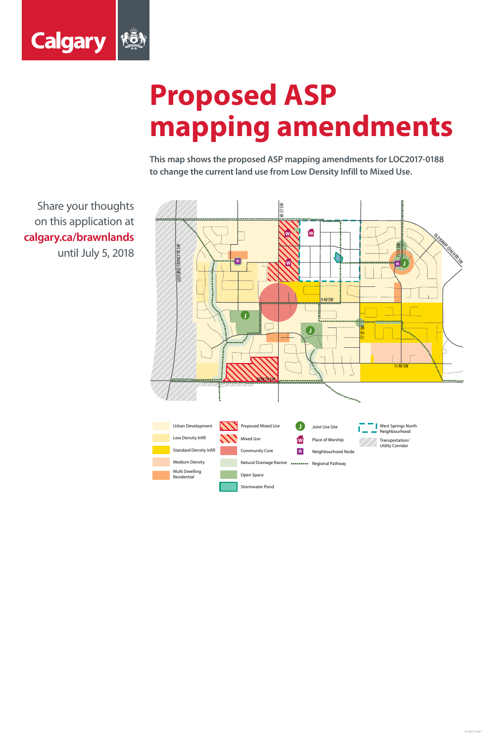

# **Proposed ASP mapping amendments**

**This map shows the proposed ASP mapping amendments for LOC2017-0188 to change the current land use from Low Density Infill to Mixed Use.**



Share your thoughts on this application at **calgary.ca/brawnlands** until July 5, 2018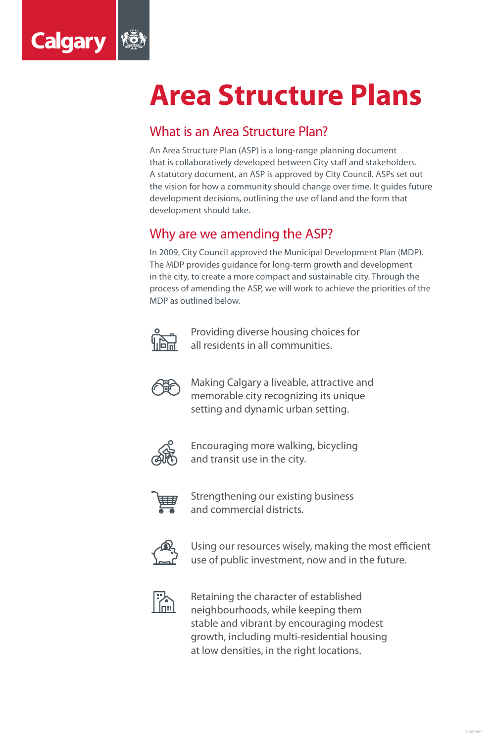

## **Area Structure Plans**

#### What is an Area Structure Plan?

An Area Structure Plan (ASP) is a long-range planning document that is collaboratively developed between City staff and stakeholders. A statutory document, an ASP is approved by City Council. ASPs set out the vision for how a community should change over time. It guides future development decisions, outlining the use of land and the form that development should take.

### Why are we amending the ASP?

In 2009, City Council approved the Municipal Development Plan (MDP).

The MDP provides guidance for long-term growth and development in the city, to create a more compact and sustainable city. Through the process of amending the ASP, we will work to achieve the priorities of the MDP as outlined below.



Providing diverse housing choices for all residents in all communities.



Making Calgary a liveable, attractive and memorable city recognizing its unique setting and dynamic urban setting.



Encouraging more walking, bicycling and transit use in the city.



Strengthening our existing business and commercial districts.



Using our resources wisely, making the most efficient use of public investment, now and in the future.



Retaining the character of established neighbourhoods, while keeping them stable and vibrant by encouraging modest growth, including multi-residential housing at low densities, in the right locations.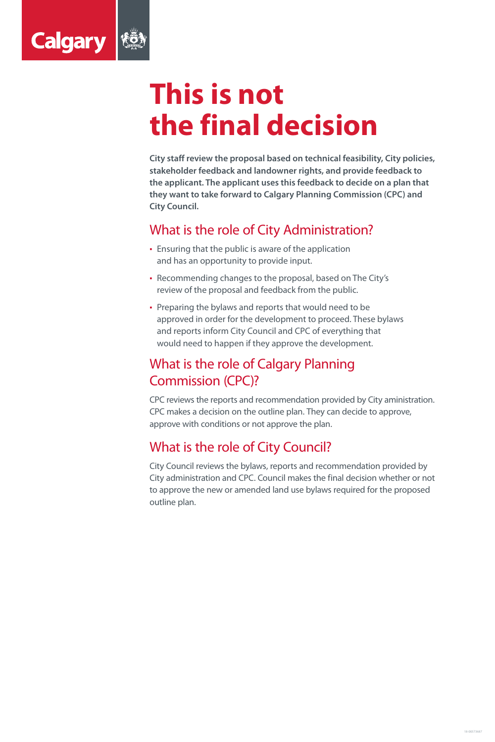

## **This is not the final decision**

**City staff review the proposal based on technical feasibility, City policies, stakeholder feedback and landowner rights, and provide feedback to the applicant. The applicant uses this feedback to decide on a plan that they want to take forward to Calgary Planning Commission (CPC) and City Council.** 

### What is the role of City Administration?

- **Ensuring that the public is aware of the application**
- and has an opportunity to provide input.
- Recommending changes to the proposal, based on The City's review of the proposal and feedback from the public.
- Preparing the bylaws and reports that would need to be approved in order for the development to proceed. These bylaws and reports inform City Council and CPC of everything that would need to happen if they approve the development.

## What is the role of Calgary Planning Commission (CPC)?

CPC reviews the reports and recommendation provided by City aministration. CPC makes a decision on the outline plan. They can decide to approve, approve with conditions or not approve the plan.

### What is the role of City Council?

City Council reviews the bylaws, reports and recommendation provided by City administration and CPC. Council makes the final decision whether or not to approve the new or amended land use bylaws required for the proposed outline plan.